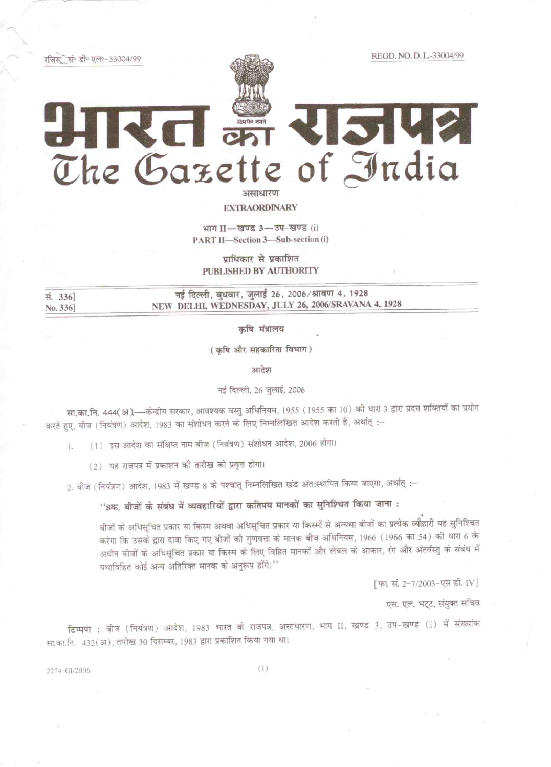रजिस्त्री सं॰ डी॰ एल॰-33004/99

REGD, NO.D.L.-33004/99

## **KISKRI** RC an The Gazette of India अम्पाधारण

**EXTRAORDINARY** 

भाग II-खण्ड 3-उप-खण्ड (i) PART II-Section 3-Sub-section (i)

प्राधिकार से प्रकाशित PUBLISHED BY AUTHORITY

नई दिल्ली, बुधवार, जुलाई 26, 2006/श्रावण 4, 1928 सं. 336] NEW DELHI, WEDNESDAY, JULY 26, 2006/SRAVANA 4, 1928 No. 336

कृषि मंत्रालय

(कृषि और सहकारिता विभाग)

आदेश

नई दिल्ली, 26 जुलाई, 2006

सा.का.नि. 444(अ.)—केन्द्रीय सरकार, आवश्यक वस्तु अधिनियम, 1955 (1955 का 10) की धारा 3 द्वारा प्रदत्त शक्तियों का प्रयोग करते हुए, बीज (नियंत्रण) आदेश, 1983 का संशोधन करने के लिए निम्नलिखित आदेश करती है, अर्थात् :-

(1) इस आदेश का संक्षिप्त नाम बीज (नियंत्रण) संशोधन आदेश, 2006 होगा। 1.

(2) यह राजपत्र में प्रकाशन की तारीख को प्रवृत्त होगा।

2. बीज (नियंत्रण) आदेश, 1983 में खण्ड 8 के पश्चात् निम्नलिखित खंड अंत:स्थापित किया जाएगा, अर्थात् :-

''8क, बीजों के संबंध में व्यवहारियों द्वारा कतिपय मानकों का सुनिश्चित किया जाना :

बीजों के अधिसूचित प्रकार या किस्म अथवा अधिसूचित प्रकार या किस्मों से अन्यथा बीजों का प्रत्येक व्यौहारी यह सुनिश्चित करेगा कि उसके द्वारा दावा किए गए बीजों की गुणवत्ता के मानक बीज अधिनियम, 1966 (1966 का 54) की धारा 6 के अधीन बीजों के अधिसूचित प्रकार या किस्म के लिए विहित मानकों और लेबल के आकार, रंग और अंतर्वस्तु के संबंध में यथाविहित कोई अन्य अतिरिक्त मानक के अनुरूप होंगे।"

[फा. सं. 2-7/2003-एस डी. IV]

एस. एल. भट्ट, संयुक्त सचिव

टिप्पण : बीज (नियंत्रण) आदेश, 1983 भारत के राजपत्र, असाधारण, भाग II, खण्ड 3, उप-खण्ड (i) में संख्यांक सा.का.नि. 432(अ), तारीख 30 दिसम्बर, 1983 द्वारा प्रकाशित किया गया था।

2274 G1/2006

 $(1)$